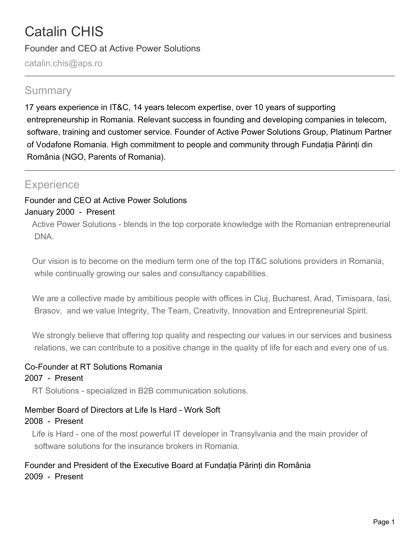# Catalin CHIS

Founder and CEO at Active Power Solutions

catalin.chis@aps.ro

# **Summary**

17 years experience in IT&C, 14 years telecom expertise, over 10 years of supporting entrepreneurship in Romania. Relevant success in founding and developing companies in telecom, software, training and customer service. Founder of Active Power Solutions Group, Platinum Partner of Vodafone Romania. High commitment to people and community through Fundația Părinți din România (NGO, Parents of Romania).

# **Experience**

## Founder and CEO at Active Power Solutions January 2000 - Present

Active Power Solutions - blends in the top corporate knowledge with the Romanian entrepreneurial DNA.

Our vision is to become on the medium term one of the top IT&C solutions providers in Romania, while continually growing our sales and consultancy capabilities.

We are a collective made by ambitious people with offices in Cluj, Bucharest, Arad, Timisoara, Iasi, Brasov, and we value Integrity, The Team, Creativity, Innovation and Entrepreneurial Spirit.

We strongly believe that offering top quality and respecting our values in our services and business relations, we can contribute to a positive change in the quality of life for each and every one of us.

## Co-Founder at RT Solutions Romania

#### 2007 - Present

RT Solutions - specialized in B2B communication solutions.

## Member Board of Directors at Life Is Hard - Work Soft

#### 2008 - Present

Life is Hard - one of the most powerful IT developer in Transylvania and the main provider of software solutions for the insurance brokers in Romania.

## Founder and President of the Executive Board at Fundația Părinți din România 2009 - Present